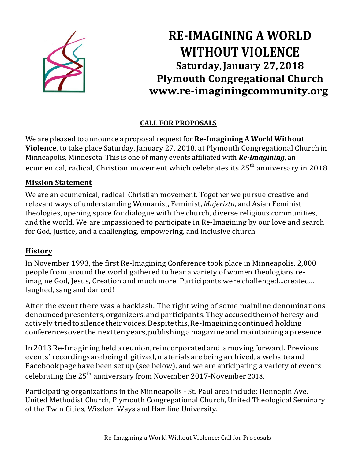

# **RE-IMAGINING A WORLD WITHOUT VIOLENCE Saturday, January 27, 2018 Plymouth Congregational Church [www.re-imaginingcommunity.org](http://www.re-imaginingcommunity.org/)**

### **CALL FOR PROPOSALS**

We are pleased to announce a proposal request for**Re-Imagining A World Without Violence**, to take place Saturday, January 27, 2018, at Plymouth Congregational Church in Minneapolis, Minnesota. This is one of many events affiliated with *Re-Imagining*, an ecumenical, radical, Christian movement which celebrates its  $25<sup>th</sup>$  anniversary in 2018.

#### **Mission Statement**

We are an ecumenical, radical, Christian movement. Together we pursue creative and relevant ways of understanding Womanist, Feminist, *Mujerista*, and Asian Feminist theologies, opening space for dialogue with the church, diverse religious communities, and the world. We are impassioned to participate in Re-Imagining by our love and search for God, justice, and a challenging, empowering, and inclusive church.

### **History**

In November 1993, the first Re-Imagining Conference took place in Minneapolis. 2,000 people from around the world gathered to hear a variety of women theologians reimagine God, Jesus, Creation and much more. Participants were challenged...created... laughed, sang and danced!

After the event there was a backlash. The right wing of some mainline denominations denounced presenters, organizers, and participants. They accused them of heresy and actively triedtosilencetheirvoices.Despite this,Re-Imaginingcontinued holding conferencesoverthe nexttenyears,publishing a magazineand maintaininga presence.

In2013Re-Imagininghelda reunion,reincorporatedandismoving forward. Previous events' recordingsarebeingdigitized,materialsarebeingarchived,a websiteand Facebookpagehave been set up (see below), and we are anticipating a variety of events celebrating the 25<sup>th</sup> anniversary from November 2017-November 2018.

Participating organizations in the Minneapolis - St. Paul area include: Hennepin Ave. United Methodist Church, Plymouth Congregational Church, United Theological Seminary of the Twin Cities, Wisdom Ways and Hamline University.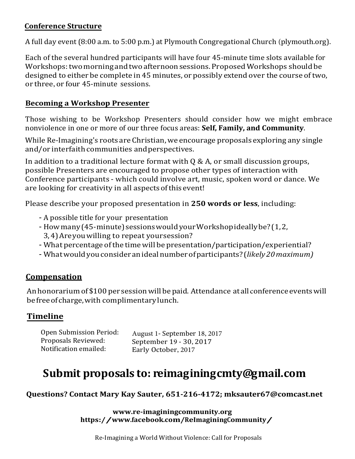#### **Conference Structure**

A full day event(8:00 a.m. to 5:00 p.m.) at Plymouth Congregational Church (plymouth.org).

Each of the several hundred participants will have four 45-minute time slots available for Workshops: two morning and two afternoon sessions. Proposed Workshops should be designed to either be complete in 45 minutes, or possibly extend over the course of two. or three, or four 45-minute sessions.

#### **Becoming a Workshop Presenter**

Those wishing to be Workshop Presenters should consider how we might embrace nonviolence in one or more of our three focus areas: **Self, Family, and Community**.

While Re-Imagining's roots are Christian, we encourage proposals exploring any single and/or interfaith communities andperspectives.

In addition to a traditional lecture format with Q & A, or small discussion groups, possible Presenters are encouraged to propose other types of interaction with Conference participants - which could involve art, music, spoken word or dance. We are looking for creativity in all aspectsofthis event!

Please describe your proposed presentation in **250 words or less**, including:

- A possible title for your presentation
- How many (45-minute) sessions would your Workshop ideally be? (1,2,
	- 3,4)Areyouwilling to repeat yoursession?
- What percentage ofthe time will be presentation/participation/experiential?
- Whatwouldyouconsideranideal number ofparticipants? (*likely20maximum)*

### **Compensation**

An honorarium of \$100 per session will be paid. Attendance at all conference events will befreeofcharge,with complimentarylunch.

### **Timeline**

| Open Submission Period:                      | August 1- September 18, 2017                   |
|----------------------------------------------|------------------------------------------------|
| Proposals Reviewed:<br>Notification emailed: | September 19 - 30, 2017<br>Early October, 2017 |
|                                              |                                                |

## **Submit proposals to: reimaginingcmty@gmail.com**

**Questions? Contact Mary [Kay Sauter, 651-216-4172;](mailto:reimaginingcmty@gmail.com) mksauter67@comcast.net**

**www.re-imaginingcommunity.org [https://www.fac](mailto:mksauter67@comcast.net)ebook.com/ReImaginingCommunity/**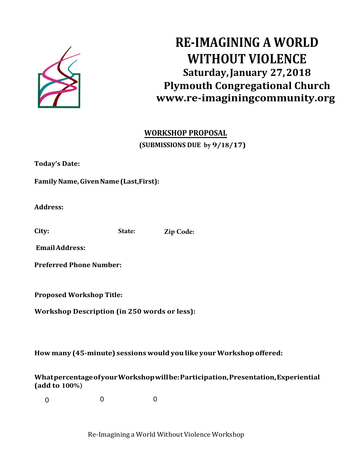

# **RE-IMAGINING A WORLD WITHOUT VIOLENCE Saturday, January 27, 2018 Plymouth Congregational Church [www.re-imaginingcommunity.org](http://www.re-imaginingcommunity.org/)**

### **WORKSHOP PROPOSAL (SUBMISSIONS DUE by 9/18/17)**

**Today's Date:**

**FamilyName,GivenName (Last,First):** 

**Address:**

**City: State: Zip Code:**

**EmailAddress:**

**Preferred Phone Number:**

**Proposed Workshop Title:**

**Workshop Description (in 250 words or less):**

**How many (45-minute) sessionswould you like yourWorkshop offered:**

**WhatpercentageofyourWorkshopwillbe:Participation,Presentation,Experiential (add to 100%)**

 $\Omega$ 0 0